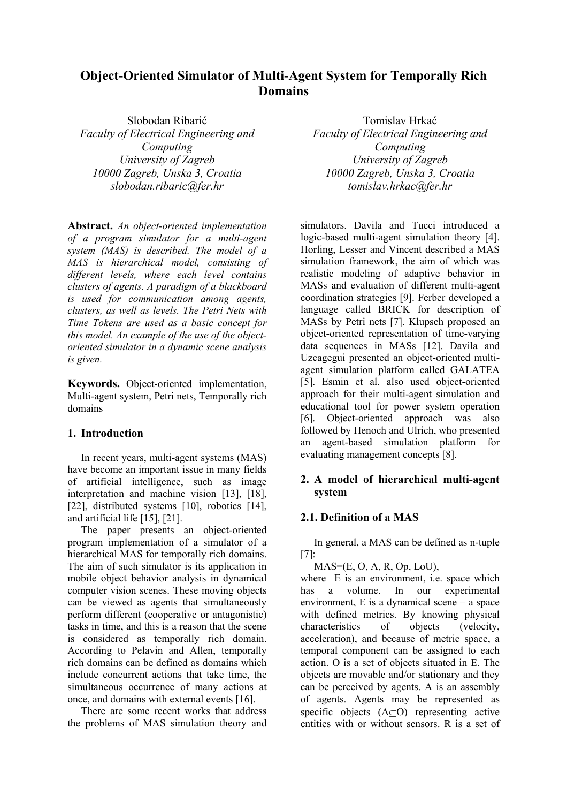# **Object-Oriented Simulator of Multi-Agent System for Temporally Rich Domains**

Slobodan Ribarić *Faculty of Electrical Engineering and Computing University of Zagreb 10000 Zagreb, Unska 3, Croatia slobodan.ribaric@fer.hr* 

**Abstract.** *An object-oriented implementation of a program simulator for a multi-agent system (MAS) is described. The model of a MAS is hierarchical model, consisting of different levels, where each level contains clusters of agents. A paradigm of a blackboard is used for communication among agents, clusters, as well as levels. The Petri Nets with Time Tokens are used as a basic concept for this model. An example of the use of the objectoriented simulator in a dynamic scene analysis is given.* 

**Keywords.** Object-oriented implementation, Multi-agent system, Petri nets, Temporally rich domains

## **1. Introduction**

 In recent years, multi-agent systems (MAS) have become an important issue in many fields of artificial intelligence, such as image interpretation and machine vision [13], [18], [22], distributed systems [10], robotics [14], and artificial life [15], [21].

 The paper presents an object-oriented program implementation of a simulator of a hierarchical MAS for temporally rich domains. The aim of such simulator is its application in mobile object behavior analysis in dynamical computer vision scenes. These moving objects can be viewed as agents that simultaneously perform different (cooperative or antagonistic) tasks in time, and this is a reason that the scene is considered as temporally rich domain. According to Pelavin and Allen, temporally rich domains can be defined as domains which include concurrent actions that take time, the simultaneous occurrence of many actions at once, and domains with external events [16].

 There are some recent works that address the problems of MAS simulation theory and

Tomislav Hrkać *Faculty of Electrical Engineering and Computing University of Zagreb 10000 Zagreb, Unska 3, Croatia tomislav.hrkac@fer.hr* 

simulators. Davila and Tucci introduced a logic-based multi-agent simulation theory [4]. Horling, Lesser and Vincent described a MAS simulation framework, the aim of which was realistic modeling of adaptive behavior in MASs and evaluation of different multi-agent coordination strategies [9]. Ferber developed a language called BRICK for description of MASs by Petri nets [7]. Klupsch proposed an object-oriented representation of time-varying data sequences in MASs [12]. Davila and Uzcagegui presented an object-oriented multiagent simulation platform called GALATEA [5]. Esmin et al. also used object-oriented approach for their multi-agent simulation and educational tool for power system operation [6]. Object-oriented approach was also followed by Henoch and Ulrich, who presented an agent-based simulation platform for evaluating management concepts [8].

# **2. A model of hierarchical multi-agent system**

# **2.1. Definition of a MAS**

 In general, a MAS can be defined as n-tuple [7]:

 $MAS=(E, O, A, R, Op, LoU),$ 

where E is an environment, i.e. space which has a volume. In our experimental environment, E is a dynamical scene – a space with defined metrics. By knowing physical characteristics of objects (velocity, acceleration), and because of metric space, a temporal component can be assigned to each action. O is a set of objects situated in E. The objects are movable and/or stationary and they can be perceived by agents. A is an assembly of agents. Agents may be represented as specific objects (A⊆O) representing active entities with or without sensors. R is a set of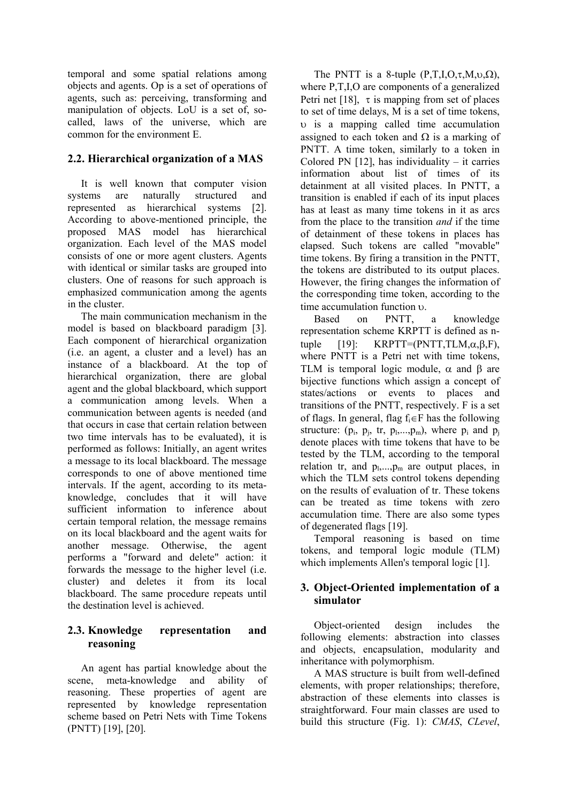temporal and some spatial relations among objects and agents. Op is a set of operations of agents, such as: perceiving, transforming and manipulation of objects. LoU is a set of, socalled, laws of the universe, which are common for the environment E.

# **2.2. Hierarchical organization of a MAS**

 It is well known that computer vision systems are naturally structured and represented as hierarchical systems [2]. According to above-mentioned principle, the proposed MAS model has hierarchical organization. Each level of the MAS model consists of one or more agent clusters. Agents with identical or similar tasks are grouped into clusters. One of reasons for such approach is emphasized communication among the agents in the cluster.

 The main communication mechanism in the model is based on blackboard paradigm [3]. Each component of hierarchical organization (i.e. an agent, a cluster and a level) has an instance of a blackboard. At the top of hierarchical organization, there are global agent and the global blackboard, which support a communication among levels. When a communication between agents is needed (and that occurs in case that certain relation between two time intervals has to be evaluated), it is performed as follows: Initially, an agent writes a message to its local blackboard. The message corresponds to one of above mentioned time intervals. If the agent, according to its metaknowledge, concludes that it will have sufficient information to inference about certain temporal relation, the message remains on its local blackboard and the agent waits for another message. Otherwise, the agent performs a "forward and delete" action: it forwards the message to the higher level (i.e. cluster) and deletes it from its local blackboard. The same procedure repeats until the destination level is achieved.

# **2.3. Knowledge representation and reasoning**

An agent has partial knowledge about the scene, meta-knowledge and ability of reasoning. These properties of agent are represented by knowledge representation scheme based on Petri Nets with Time Tokens (PNTT) [19], [20].

The PNTT is a 8-tuple  $(P,T,I,O,\tau,M,\nu,\Omega)$ , where P,T,I,O are components of a generalized Petri net [18],  $\tau$  is mapping from set of places to set of time delays, M is a set of time tokens, υ is a mapping called time accumulation assigned to each token and  $\Omega$  is a marking of PNTT. A time token, similarly to a token in Colored PN  $[12]$ , has individuality – it carries information about list of times of its detainment at all visited places. In PNTT, a transition is enabled if each of its input places has at least as many time tokens in it as arcs from the place to the transition *and* if the time of detainment of these tokens in places has elapsed. Such tokens are called "movable" time tokens. By firing a transition in the PNTT, the tokens are distributed to its output places. However, the firing changes the information of the corresponding time token, according to the time accumulation function υ.

 Based on PNTT, a knowledge representation scheme KRPTT is defined as ntuple  $[19]$ : KRPTT=(PNTT,TLM, $\alpha$ , $\beta$ ,F), where PNTT is a Petri net with time tokens, TLM is temporal logic module,  $\alpha$  and  $\beta$  are bijective functions which assign a concept of states/actions or events to places and transitions of the PNTT, respectively. F is a set of flags. In general, flag  $f_i \in F$  has the following structure:  $(p_i, p_i, tr, p_1,...,p_m)$ , where  $p_i$  and  $p_i$ denote places with time tokens that have to be tested by the TLM, according to the temporal relation tr, and  $p_1, \ldots, p_m$  are output places, in which the TLM sets control tokens depending on the results of evaluation of tr. These tokens can be treated as time tokens with zero accumulation time. There are also some types of degenerated flags [19].

Temporal reasoning is based on time tokens, and temporal logic module (TLM) which implements Allen's temporal logic [1].

## **3. Object-Oriented implementation of a simulator**

Object-oriented design includes the following elements: abstraction into classes and objects, encapsulation, modularity and inheritance with polymorphism.

A MAS structure is built from well-defined elements, with proper relationships; therefore, abstraction of these elements into classes is straightforward. Four main classes are used to build this structure (Fig. 1): *CMAS*, *CLevel*,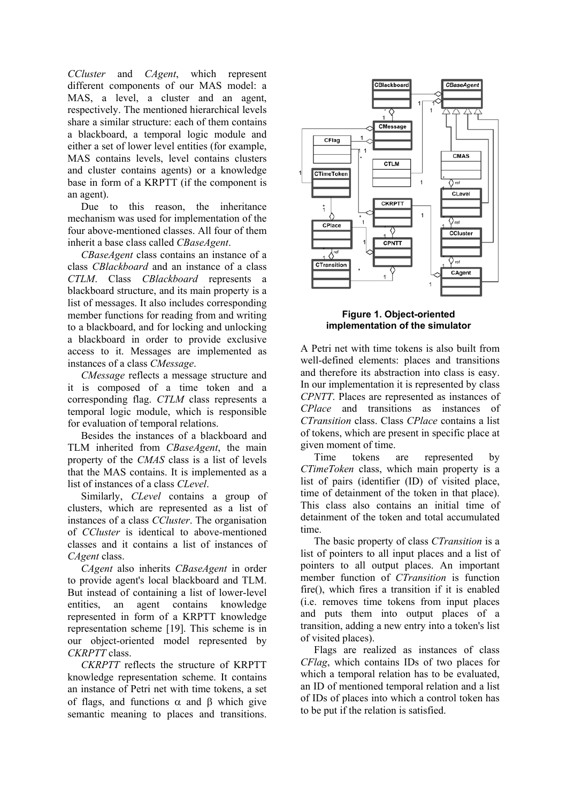*CCluster* and *CAgent*, which represent different components of our MAS model: a MAS, a level, a cluster and an agent, respectively. The mentioned hierarchical levels share a similar structure: each of them contains a blackboard, a temporal logic module and either a set of lower level entities (for example, MAS contains levels, level contains clusters and cluster contains agents) or a knowledge base in form of a KRPTT (if the component is an agent).

Due to this reason, the inheritance mechanism was used for implementation of the four above-mentioned classes. All four of them inherit a base class called *CBaseAgent*.

*CBaseAgent* class contains an instance of a class *CBlackboard* and an instance of a class *CTLM*. Class *CBlackboard* represents a blackboard structure, and its main property is a list of messages. It also includes corresponding member functions for reading from and writing to a blackboard, and for locking and unlocking a blackboard in order to provide exclusive access to it. Messages are implemented as instances of a class *CMessage*.

*CMessage* reflects a message structure and it is composed of a time token and a corresponding flag. *CTLM* class represents a temporal logic module, which is responsible for evaluation of temporal relations.

Besides the instances of a blackboard and TLM inherited from *CBaseAgent*, the main property of the *CMAS* class is a list of levels that the MAS contains. It is implemented as a list of instances of a class *CLevel*.

Similarly, *CLevel* contains a group of clusters, which are represented as a list of instances of a class *CCluster*. The organisation of *CCluster* is identical to above-mentioned classes and it contains a list of instances of *CAgent* class.

*CAgent* also inherits *CBaseAgent* in order to provide agent's local blackboard and TLM. But instead of containing a list of lower-level entities, an agent contains knowledge represented in form of a KRPTT knowledge representation scheme [19]. This scheme is in our object-oriented model represented by *CKRPTT* class.

*CKRPTT* reflects the structure of KRPTT knowledge representation scheme. It contains an instance of Petri net with time tokens, a set of flags, and functions  $\alpha$  and  $\beta$  which give semantic meaning to places and transitions.



**Figure 1. Object-oriented implementation of the simulator** 

A Petri net with time tokens is also built from well-defined elements: places and transitions and therefore its abstraction into class is easy. In our implementation it is represented by class *CPNTT*. Places are represented as instances of *CPlace* and transitions as instances of *CTransition* class. Class *CPlace* contains a list of tokens, which are present in specific place at given moment of time.

Time tokens are represented by *CTimeToken* class, which main property is a list of pairs (identifier (ID) of visited place, time of detainment of the token in that place). This class also contains an initial time of detainment of the token and total accumulated time.

The basic property of class *CTransition* is a list of pointers to all input places and a list of pointers to all output places. An important member function of *CTransition* is function fire(), which fires a transition if it is enabled (i.e. removes time tokens from input places and puts them into output places of a transition, adding a new entry into a token's list of visited places).

Flags are realized as instances of class *CFlag*, which contains IDs of two places for which a temporal relation has to be evaluated, an ID of mentioned temporal relation and a list of IDs of places into which a control token has to be put if the relation is satisfied.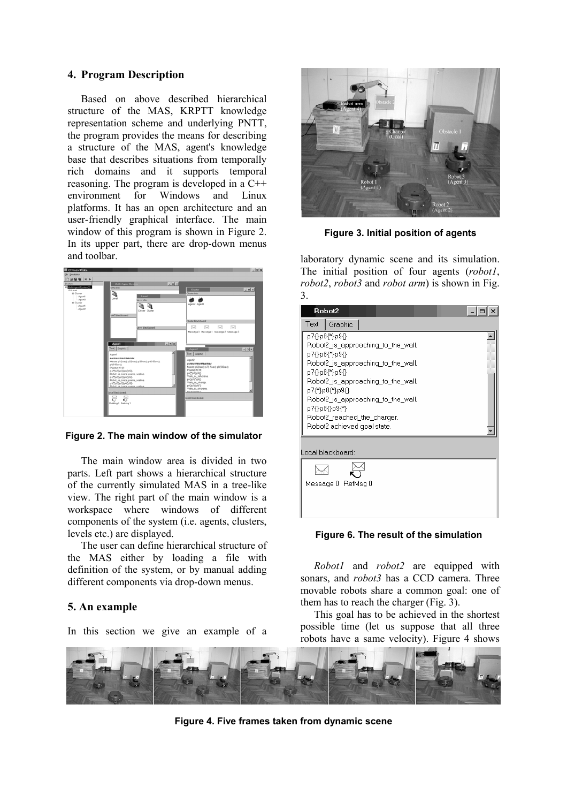## **4. Program Description**

Based on above described hierarchical structure of the MAS, KRPTT knowledge representation scheme and underlying PNTT, the program provides the means for describing a structure of the MAS, agent's knowledge base that describes situations from temporally rich domains and it supports temporal reasoning. The program is developed in a C++ environment for Windows and Linux platforms. It has an open architecture and an user-friendly graphical interface. The main window of this program is shown in Figure 2. In its upper part, there are drop-down menus and toolbar.



**Figure 2. The main window of the simulator**

The main window area is divided in two parts. Left part shows a hierarchical structure of the currently simulated MAS in a tree-like view. The right part of the main window is a workspace where windows of different components of the system (i.e. agents, clusters, levels etc.) are displayed.

The user can define hierarchical structure of the MAS either by loading a file with definition of the system, or by manual adding different components via drop-down menus.

## **5. An example**

In this section we give an example of a



**Figure 3. Initial position of agents** 

laboratory dynamic scene and its simulation. The initial position of four agents (*robot1*, *robot2*, *robot3* and *robot arm*) is shown in Fig. 3.

| Robot2                                                                                                                                                                                                                                                                                                   |         |  |  |
|----------------------------------------------------------------------------------------------------------------------------------------------------------------------------------------------------------------------------------------------------------------------------------------------------------|---------|--|--|
| Text                                                                                                                                                                                                                                                                                                     | Graphic |  |  |
| p7{}p8{*}p9{}<br>Robot2_is_approaching_to_the_wall.<br>{}p7{}p8{*}p9<br>Robot2_is_approaching_to_the_wall.<br>p7{}p8{*}p9{}<br>Robot2_is_approaching_to_the_wall.<br>p7{*}p8{*}p9{}<br>Robot2_is_approaching_to_the_wall.<br>p7{}p8{}p9{*}<br>Robot2_reached_the_charger.<br>Robot2 achieved goal state. |         |  |  |
| Local blackboard:                                                                                                                                                                                                                                                                                        |         |  |  |
| Message 0 RetMsg 0                                                                                                                                                                                                                                                                                       |         |  |  |

**Figure 6. The result of the simulation** 

 *Robot1* and *robot2* are equipped with sonars, and *robot3* has a CCD camera. Three movable robots share a common goal: one of them has to reach the charger (Fig. 3).

This goal has to be achieved in the shortest possible time (let us suppose that all three robots have a same velocity). Figure 4 shows



**Figure 4. Five frames taken from dynamic scene**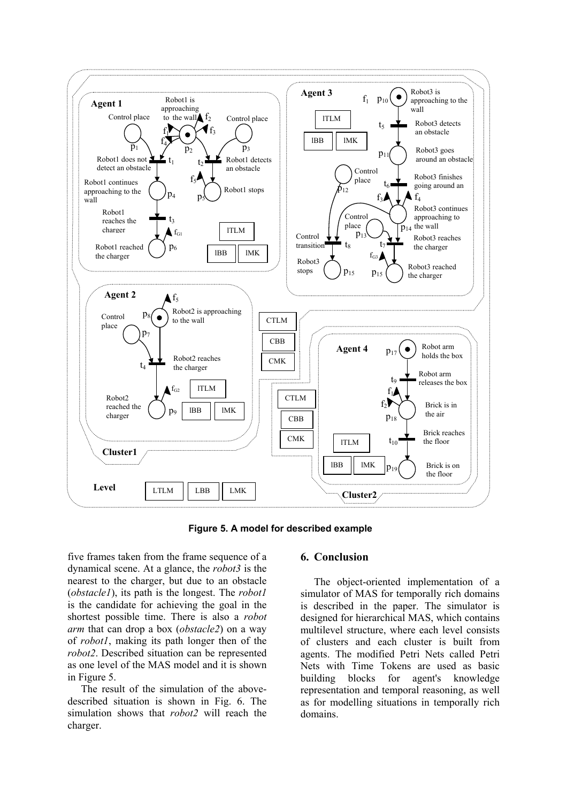

**Figure 5. A model for described example** 

five frames taken from the frame sequence of a dynamical scene. At a glance, the *robot3* is the nearest to the charger, but due to an obstacle (*obstacle1*), its path is the longest. The *robot1* is the candidate for achieving the goal in the shortest possible time. There is also a *robot arm* that can drop a box (*obstacle2*) on a way of *robot1*, making its path longer then of the *robot2*. Described situation can be represented as one level of the MAS model and it is shown in Figure 5.

The result of the simulation of the abovedescribed situation is shown in Fig. 6. The simulation shows that *robot2* will reach the charger.

#### **6. Conclusion**

The object-oriented implementation of a simulator of MAS for temporally rich domains is described in the paper. The simulator is designed for hierarchical MAS, which contains multilevel structure, where each level consists of clusters and each cluster is built from agents. The modified Petri Nets called Petri Nets with Time Tokens are used as basic building blocks for agent's knowledge representation and temporal reasoning, as well as for modelling situations in temporally rich domains.